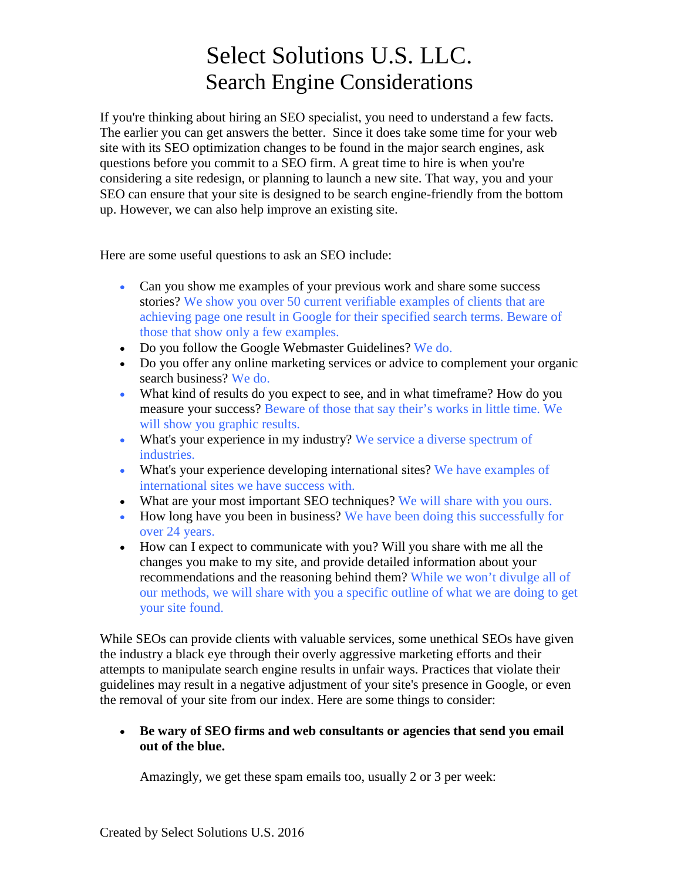If you're thinking about hiring an SEO specialist, you need to understand a few facts. The earlier you can get answers the better. Since it does take some time for your web site with its SEO optimization changes to be found in the major search engines, ask questions before you commit to a SEO firm. A great time to hire is when you're considering a site redesign, or planning to launch a new site. That way, you and your SEO can ensure that your site is designed to be search engine-friendly from the bottom up. However, we can also help improve an existing site.

Here are some useful questions to ask an SEO include:

- Can you show me examples of your previous work and share some success stories? We show you over 50 current verifiable examples of clients that are achieving page one result in Google for their specified search terms. Beware of those that show only a few examples.
- Do you follow the Google Webmaster Guidelines? We do.
- Do you offer any online marketing services or advice to complement your organic search business? We do.
- What kind of results do you expect to see, and in what timeframe? How do you measure your success? Beware of those that say their's works in little time. We will show you graphic results.
- What's your experience in my industry? We service a diverse spectrum of industries.
- What's your experience developing international sites? We have examples of international sites we have success with.
- What are your most important SEO techniques? We will share with you ours.
- How long have you been in business? We have been doing this successfully for over 24 years.
- How can I expect to communicate with you? Will you share with me all the changes you make to my site, and provide detailed information about your recommendations and the reasoning behind them? While we won't divulge all of our methods, we will share with you a specific outline of what we are doing to get your site found.

While SEOs can provide clients with valuable services, some unethical SEOs have given the industry a black eye through their overly aggressive marketing efforts and their attempts to manipulate search engine results in unfair ways. Practices that violate their guidelines may result in a negative adjustment of your site's presence in Google, or even the removal of your site from our index. Here are some things to consider:

### **Be wary of SEO firms and web consultants or agencies that send you email out of the blue.**

Amazingly, we get these spam emails too, usually 2 or 3 per week: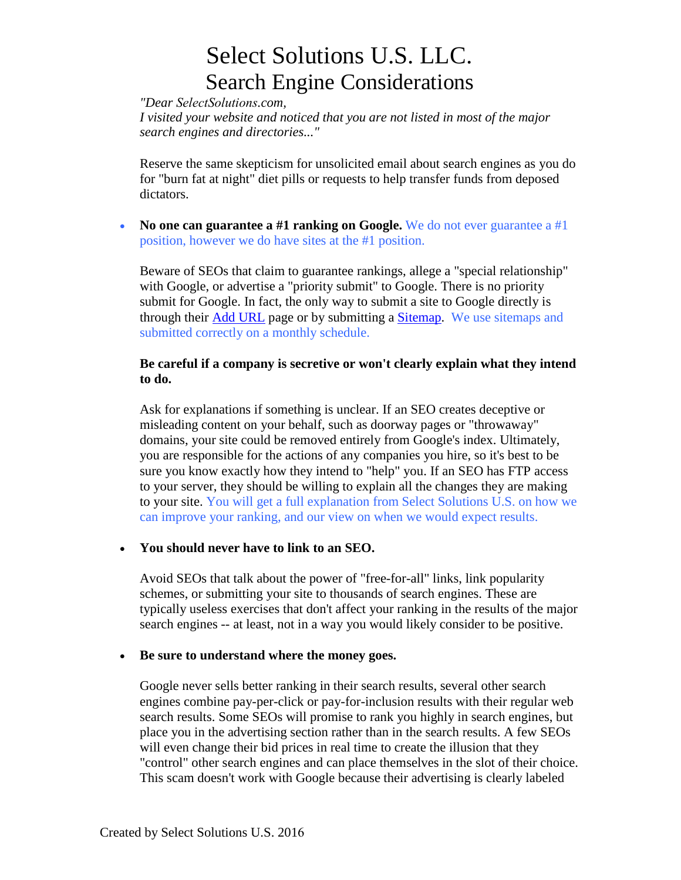*"Dear SelectSolutions.com,*

*I visited your website and noticed that you are not listed in most of the major search engines and directories..."*

Reserve the same skepticism for unsolicited email about search engines as you do for "burn fat at night" diet pills or requests to help transfer funds from deposed dictators.

**No one can guarantee a #1 ranking on Google.** We do not ever guarantee a #1 position, however we do have sites at the #1 position.

Beware of SEOs that claim to guarantee rankings, allege a "special relationship" with Google, or advertise a "priority submit" to Google. There is no priority submit for Google. In fact, the only way to submit a site to Google directly is through their Add URL page or by submitting a Sitemap. We use sitemaps and submitted correctly on a monthly schedule.

## **Be careful if a company is secretive or won't clearly explain what they intend to do.**

Ask for explanations if something is unclear. If an SEO creates deceptive or misleading content on your behalf, such as doorway pages or "throwaway" domains, your site could be removed entirely from Google's index. Ultimately, you are responsible for the actions of any companies you hire, so it's best to be sure you know exactly how they intend to "help" you. If an SEO has FTP access to your server, they should be willing to explain all the changes they are making to your site. You will get a full explanation from Select Solutions U.S. on how we can improve your ranking, and our view on when we would expect results.

## **You should never have to link to an SEO.**

Avoid SEOs that talk about the power of "free-for-all" links, link popularity schemes, or submitting your site to thousands of search engines. These are typically useless exercises that don't affect your ranking in the results of the major search engines -- at least, not in a way you would likely consider to be positive.

#### **Be sure to understand where the money goes.**

Google never sells better ranking in their search results, several other search engines combine pay-per-click or pay-for-inclusion results with their regular web search results. Some SEOs will promise to rank you highly in search engines, but place you in the advertising section rather than in the search results. A few SEOs will even change their bid prices in real time to create the illusion that they "control" other search engines and can place themselves in the slot of their choice. This scam doesn't work with Google because their advertising is clearly labeled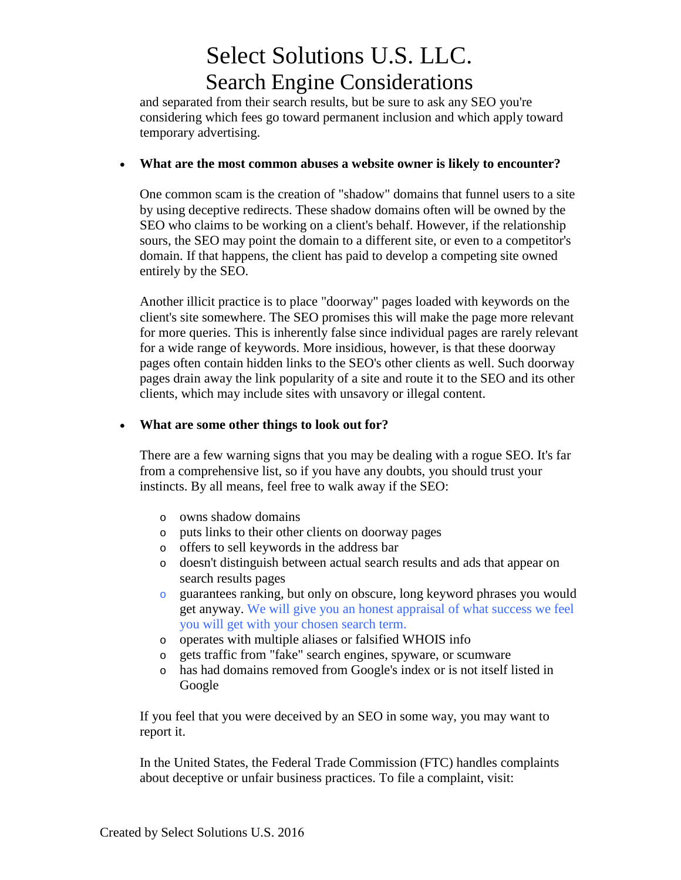and separated from their search results, but be sure to ask any SEO you're considering which fees go toward permanent inclusion and which apply toward temporary advertising.

## **What are the most common abuses a website owner is likely to encounter?**

One common scam is the creation of "shadow" domains that funnel users to a site by using deceptive redirects. These shadow domains often will be owned by the SEO who claims to be working on a client's behalf. However, if the relationship sours, the SEO may point the domain to a different site, or even to a competitor's domain. If that happens, the client has paid to develop a competing site owned entirely by the SEO.

Another illicit practice is to place "doorway" pages loaded with keywords on the client's site somewhere. The SEO promises this will make the page more relevant for more queries. This is inherently false since individual pages are rarely relevant for a wide range of keywords. More insidious, however, is that these doorway pages often contain hidden links to the SEO's other clients as well. Such doorway pages drain away the link popularity of a site and route it to the SEO and its other clients, which may include sites with unsavory or illegal content.

## **What are some other things to look out for?**

There are a few warning signs that you may be dealing with a rogue SEO. It's far from a comprehensive list, so if you have any doubts, you should trust your instincts. By all means, feel free to walk away if the SEO:

- o owns shadow domains
- o puts links to their other clients on doorway pages
- o offers to sell keywords in the address bar
- o doesn't distinguish between actual search results and ads that appear on search results pages
- o guarantees ranking, but only on obscure, long keyword phrases you would get anyway. We will give you an honest appraisal of what success we feel you will get with your chosen search term.
- o operates with multiple aliases or falsified WHOIS info
- o gets traffic from "fake" search engines, spyware, or scumware
- o has had domains removed from Google's index or is not itself listed in Google

If you feel that you were deceived by an SEO in some way, you may want to report it.

In the United States, the Federal Trade Commission (FTC) handles complaints about deceptive or unfair business practices. To file a complaint, visit: